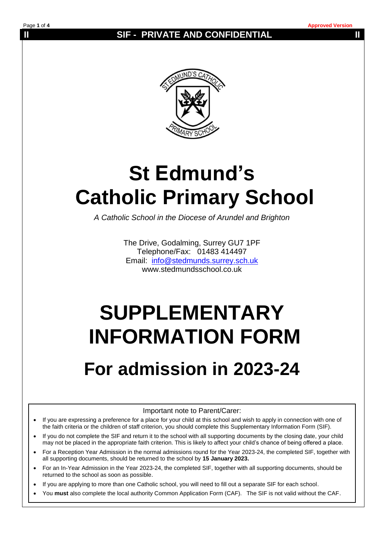### **II** SIF - PRIVATE AND CONFIDENTIAL **II**



# **St Edmund's Catholic Primary School**

*A Catholic School in the Diocese of Arundel and Brighton*

The Drive, Godalming, Surrey GU7 1PF Telephone/Fax: 01483 414497 Email: [info@stedmunds.surrey.sch.uk](mailto:info@stedmunds.surrey.sch.uk)  www.stedmundsschool.co.uk

# **SUPPLEMENTARY INFORMATION FORM**

## **For admission in 2023-24**

Important note to Parent/Carer:

- If you are expressing a preference for a place for your child at this school and wish to apply in connection with one of the faith criteria or the children of staff criterion, you should complete this Supplementary Information Form (SIF).
- If you do not complete the SIF and return it to the school with all supporting documents by the closing date, your child may not be placed in the appropriate faith criterion. This is likely to affect your child's chance of being offered a place.
- For a Reception Year Admission in the normal admissions round for the Year 2023-24, the completed SIF, together with all supporting documents, should be returned to the school by **15 January 2023.**
- For an In-Year Admission in the Year 2023-24, the completed SIF, together with all supporting documents, should be returned to the school as soon as possible.
- If you are applying to more than one Catholic school, you will need to fill out a separate SIF for each school.
- You **must** also complete the local authority Common Application Form (CAF). The SIF is not valid without the CAF.

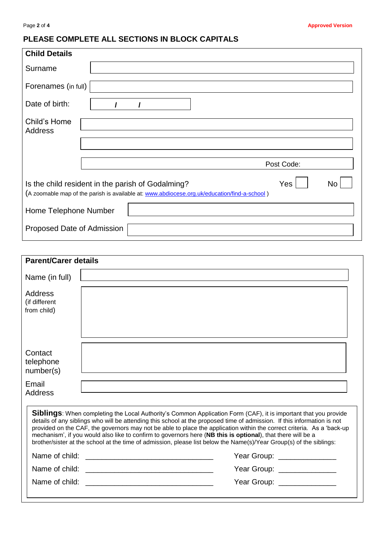### **PLEASE COMPLETE ALL SECTIONS IN BLOCK CAPITALS**

| <b>Child Details</b>                                                                                                                                           |
|----------------------------------------------------------------------------------------------------------------------------------------------------------------|
| Surname                                                                                                                                                        |
| Forenames (in full)                                                                                                                                            |
| Date of birth:                                                                                                                                                 |
| Child's Home<br>Address                                                                                                                                        |
| Post Code:                                                                                                                                                     |
| Yes<br>Is the child resident in the parish of Godalming?<br>No<br>(A zoomable map of the parish is available at: www.abdiocese.org.uk/education/find-a-school) |
| Home Telephone Number                                                                                                                                          |
| Proposed Date of Admission                                                                                                                                     |

| <b>Parent/Carer details</b>             |                                                                                                                                                                                                                                                                                                                                                                                                                                                                                                                                                                                                                   |  |  |  |  |
|-----------------------------------------|-------------------------------------------------------------------------------------------------------------------------------------------------------------------------------------------------------------------------------------------------------------------------------------------------------------------------------------------------------------------------------------------------------------------------------------------------------------------------------------------------------------------------------------------------------------------------------------------------------------------|--|--|--|--|
| Name (in full)                          |                                                                                                                                                                                                                                                                                                                                                                                                                                                                                                                                                                                                                   |  |  |  |  |
| Address<br>(if different<br>from child) |                                                                                                                                                                                                                                                                                                                                                                                                                                                                                                                                                                                                                   |  |  |  |  |
| Contact<br>telephone<br>number(s)       |                                                                                                                                                                                                                                                                                                                                                                                                                                                                                                                                                                                                                   |  |  |  |  |
| Email<br>Address                        |                                                                                                                                                                                                                                                                                                                                                                                                                                                                                                                                                                                                                   |  |  |  |  |
|                                         | <b>Siblings:</b> When completing the Local Authority's Common Application Form (CAF), it is important that you provide<br>details of any siblings who will be attending this school at the proposed time of admission. If this information is not<br>provided on the CAF, the governors may not be able to place the application within the correct criteria. As a 'back-up<br>mechanism', if you would also like to confirm to governors here (NB this is optional), that there will be a<br>brother/sister at the school at the time of admission, please list below the Name(s)/Year Group(s) of the siblings: |  |  |  |  |
|                                         | Year Group: ________________                                                                                                                                                                                                                                                                                                                                                                                                                                                                                                                                                                                      |  |  |  |  |
|                                         | Year Group: ________________                                                                                                                                                                                                                                                                                                                                                                                                                                                                                                                                                                                      |  |  |  |  |
|                                         | Year Group: _______________                                                                                                                                                                                                                                                                                                                                                                                                                                                                                                                                                                                       |  |  |  |  |
|                                         |                                                                                                                                                                                                                                                                                                                                                                                                                                                                                                                                                                                                                   |  |  |  |  |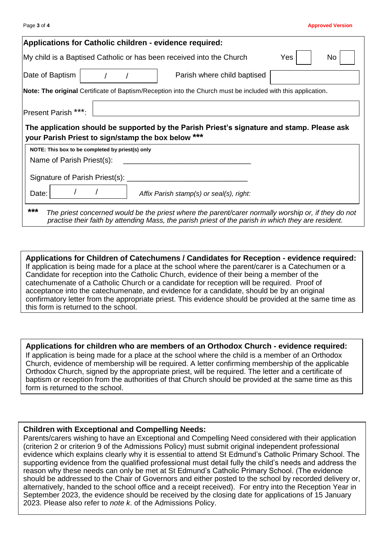|                                                    |                                                  | <b>Applications for Catholic children - evidence required:</b>                                                                                                                                             |     |     |
|----------------------------------------------------|--------------------------------------------------|------------------------------------------------------------------------------------------------------------------------------------------------------------------------------------------------------------|-----|-----|
|                                                    |                                                  | My child is a Baptised Catholic or has been received into the Church                                                                                                                                       | Yes | No. |
| Date of Baptism                                    |                                                  | Parish where child baptised                                                                                                                                                                                |     |     |
|                                                    |                                                  | Note: The original Certificate of Baptism/Reception into the Church must be included with this application.                                                                                                |     |     |
| Present Parish ***:                                |                                                  |                                                                                                                                                                                                            |     |     |
| your Parish Priest to sign/stamp the box below *** | NOTE: This box to be completed by priest(s) only | The application should be supported by the Parish Priest's signature and stamp. Please ask                                                                                                                 |     |     |
| Name of Parish Priest(s):                          |                                                  |                                                                                                                                                                                                            |     |     |
|                                                    | Signature of Parish Priest(s):                   |                                                                                                                                                                                                            |     |     |
| Date:                                              |                                                  | Affix Parish stamp(s) or seal(s), right:                                                                                                                                                                   |     |     |
| ***                                                |                                                  | The priest concerned would be the priest where the parent/carer normally worship or, if they do not<br>practise their faith by attending Mass, the parish priest of the parish in which they are resident. |     |     |

**Applications for Children of Catechumens / Candidates for Reception - evidence required:** If application is being made for a place at the school where the parent/carer is a Catechumen or a Candidate for reception into the Catholic Church, evidence of their being a member of the catechumenate of a Catholic Church or a candidate for reception will be required. Proof of acceptance into the catechumenate, and evidence for a candidate, should be by an original confirmatory letter from the appropriate priest. This evidence should be provided at the same time as this form is returned to the school.

**Applications for children who are members of an Orthodox Church - evidence required:** If application is being made for a place at the school where the child is a member of an Orthodox Church, evidence of membership will be required. A letter confirming membership of the applicable Orthodox Church, signed by the appropriate priest, will be required. The letter and a certificate of baptism or reception from the authorities of that Church should be provided at the same time as this form is returned to the school.

#### **Children with Exceptional and Compelling Needs:**

Parents/carers wishing to have an Exceptional and Compelling Need considered with their application (criterion 2 or criterion 9 of the Admissions Policy) must submit original independent professional evidence which explains clearly why it is essential to attend St Edmund's Catholic Primary School. The supporting evidence from the qualified professional must detail fully the child's needs and address the reason why these needs can only be met at St Edmund's Catholic Primary School. (The evidence should be addressed to the Chair of Governors and either posted to the school by recorded delivery or, alternatively, handed to the school office and a receipt received). For entry into the Reception Year in September 2023, the evidence should be received by the closing date for applications of 15 January 2023. Please also refer to *note k*. of the Admissions Policy.